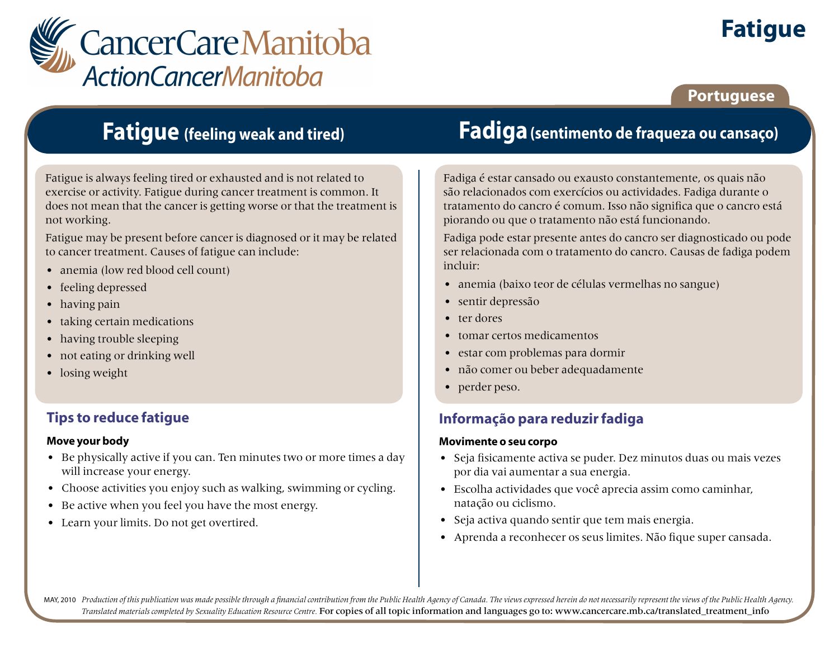

# **Fatigue**

### **Portuguese**

## **Fatigue (feeling weak and tired)**

Fatigue is always feeling tired or exhausted and is not related to exercise or activity. Fatigue during cancer treatment is common. It does not mean that the cancer is getting worse or that the treatment is not working.

Fatigue may be present before cancer is diagnosed or it may be related to cancer treatment. Causes of fatigue can include:

- anemia (low red blood cell count)
- feeling depressed
- having pain
- taking certain medications
- having trouble sleeping
- not eating or drinking well
- losing weight

### **Tips to reduce fatigue**

#### **Move your body**

- Be physically active if you can. Ten minutes two or more times a day will increase your energy.
- Choose activities you enjoy such as walking, swimming or cycling.
- Be active when you feel you have the most energy.
- Learn your limits. Do not get overtired.

## **Fadiga(sentimento de fraqueza ou cansaço)**

Fadiga é estar cansado ou exausto constantemente, os quais não são relacionados com exercícios ou actividades. Fadiga durante o tratamento do cancro é comum. Isso não significa que o cancro está piorando ou que o tratamento não está funcionando.

Fadiga pode estar presente antes do cancro ser diagnosticado ou pode ser relacionada com o tratamento do cancro. Causas de fadiga podem incluir:

- anemia (baixo teor de células vermelhas no sangue)
- sentir depressão
- ter dores
- tomar certos medicamentos
- estar com problemas para dormir
- não comer ou beber adequadamente
- perder peso.

### **Informação para reduzir fadiga**

#### **Movimente o seu corpo**

- Seja fisicamente activa se puder. Dez minutos duas ou mais vezes por dia vai aumentar a sua energia.
- Escolha actividades que você aprecia assim como caminhar, natação ou ciclismo.
- Seja activa quando sentir que tem mais energia.
- Aprenda a reconhecer os seus limites. Não fique super cansada.

MAY, 2010 Production of this publication was made possible through a financial contribution from the Public Health Agency of Canada. The views expressed herein do not necessarily represent the views of the Public Health Ag *Translated materials completed by Sexuality Education Resource Centre.* For copies of all topic information and languages go to: www.cancercare.mb.ca/translated\_treatment\_info